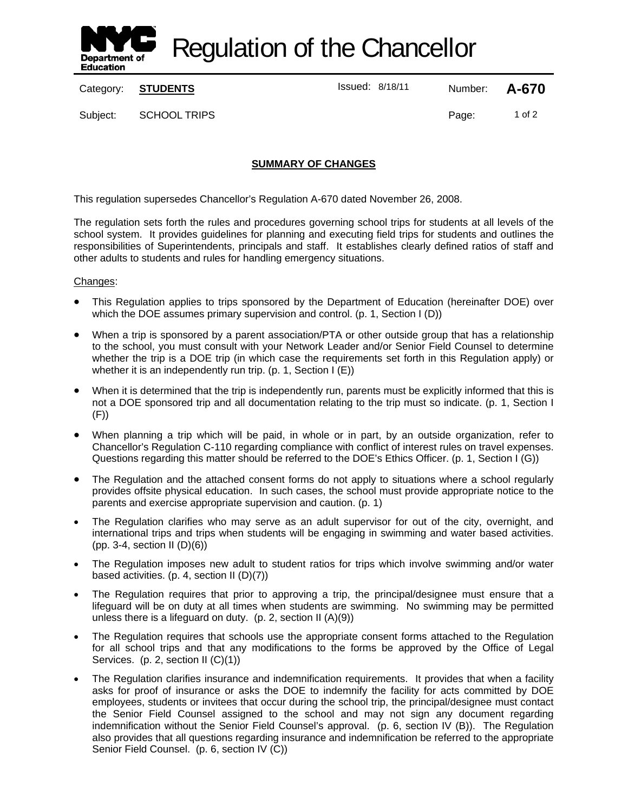

Regulation of the Chancellor

Category: **STUDENTS ISSUE 18/18/11** Number: **A-670** 

Subject: SCHOOL TRIPS **Page:** 1 of 2

# **SUMMARY OF CHANGES**

This regulation supersedes Chancellor's Regulation A-670 dated November 26, 2008.

The regulation sets forth the rules and procedures governing school trips for students at all levels of the school system. It provides guidelines for planning and executing field trips for students and outlines the responsibilities of Superintendents, principals and staff. It establishes clearly defined ratios of staff and other adults to students and rules for handling emergency situations.

#### Changes:

- This Regulation applies to trips sponsored by the Department of Education (hereinafter DOE) over which the DOE assumes primary supervision and control. (p. 1, Section I (D))
- When a trip is sponsored by a parent association/PTA or other outside group that has a relationship to the school, you must consult with your Network Leader and/or Senior Field Counsel to determine whether the trip is a DOE trip (in which case the requirements set forth in this Regulation apply) or whether it is an independently run trip. (p. 1, Section I (E))
- When it is determined that the trip is independently run, parents must be explicitly informed that this is not a DOE sponsored trip and all documentation relating to the trip must so indicate. (p. 1, Section I (F))
- When planning a trip which will be paid, in whole or in part, by an outside organization, refer to Chancellor's Regulation C-110 regarding compliance with conflict of interest rules on travel expenses. Questions regarding this matter should be referred to the DOE's Ethics Officer. (p. 1, Section I (G))
- The Regulation and the attached consent forms do not apply to situations where a school regularly provides offsite physical education. In such cases, the school must provide appropriate notice to the parents and exercise appropriate supervision and caution. (p. 1)
- The Regulation clarifies who may serve as an adult supervisor for out of the city, overnight, and international trips and trips when students will be engaging in swimming and water based activities. (pp. 3-4, section II (D)(6))
- The Regulation imposes new adult to student ratios for trips which involve swimming and/or water based activities. (p. 4, section II (D)(7))
- The Regulation requires that prior to approving a trip, the principal/designee must ensure that a lifeguard will be on duty at all times when students are swimming. No swimming may be permitted unless there is a lifeguard on duty. (p. 2, section II (A)(9))
- The Regulation requires that schools use the appropriate consent forms attached to the Regulation for all school trips and that any modifications to the forms be approved by the Office of Legal Services. (p. 2, section II (C)(1))
- The Regulation clarifies insurance and indemnification requirements. It provides that when a facility asks for proof of insurance or asks the DOE to indemnify the facility for acts committed by DOE employees, students or invitees that occur during the school trip, the principal/designee must contact the Senior Field Counsel assigned to the school and may not sign any document regarding indemnification without the Senior Field Counsel's approval. (p. 6, section IV (B)). The Regulation also provides that all questions regarding insurance and indemnification be referred to the appropriate Senior Field Counsel. (p. 6, section IV (C))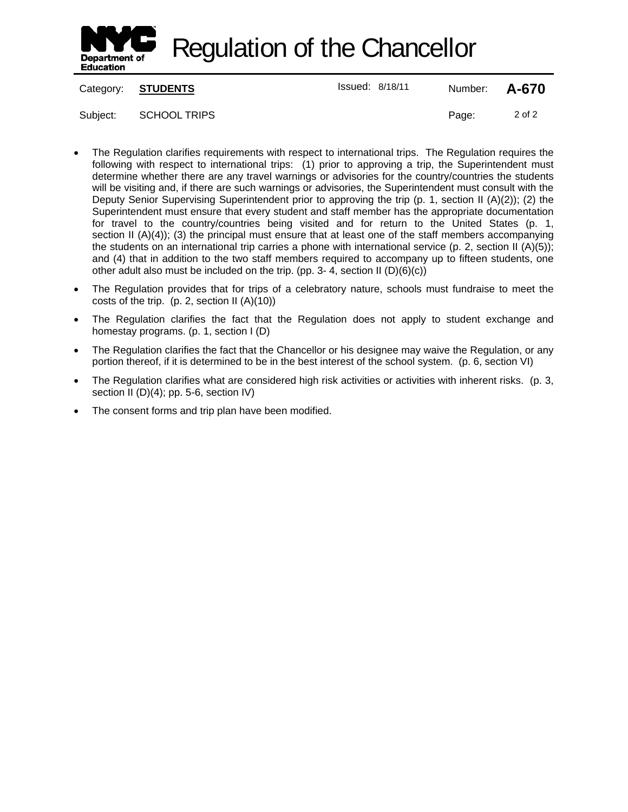

Regulation of the Chancellor

Category: **STUDENTS ISSUE 18/18/11** Number: **A-670** 

Subject: SCHOOL TRIPS Page: 2 of 2

- 
- The Regulation clarifies requirements with respect to international trips. The Regulation requires the following with respect to international trips: (1) prior to approving a trip, the Superintendent must determine whether there are any travel warnings or advisories for the country/countries the students will be visiting and, if there are such warnings or advisories, the Superintendent must consult with the Deputy Senior Supervising Superintendent prior to approving the trip (p. 1, section II (A)(2)); (2) the Superintendent must ensure that every student and staff member has the appropriate documentation for travel to the country/countries being visited and for return to the United States (p. 1, section II (A)(4)); (3) the principal must ensure that at least one of the staff members accompanying the students on an international trip carries a phone with international service (p. 2, section II (A)(5)); and (4) that in addition to the two staff members required to accompany up to fifteen students, one other adult also must be included on the trip. (pp. 3- 4, section II (D)(6)(c))
- The Regulation provides that for trips of a celebratory nature, schools must fundraise to meet the costs of the trip. (p. 2, section II (A)(10))
- The Regulation clarifies the fact that the Regulation does not apply to student exchange and homestay programs. (p. 1, section I (D)
- The Regulation clarifies the fact that the Chancellor or his designee may waive the Regulation, or any portion thereof, if it is determined to be in the best interest of the school system. (p. 6, section VI)
- The Regulation clarifies what are considered high risk activities or activities with inherent risks. (p. 3, section II (D)(4); pp. 5-6, section IV)
- The consent forms and trip plan have been modified.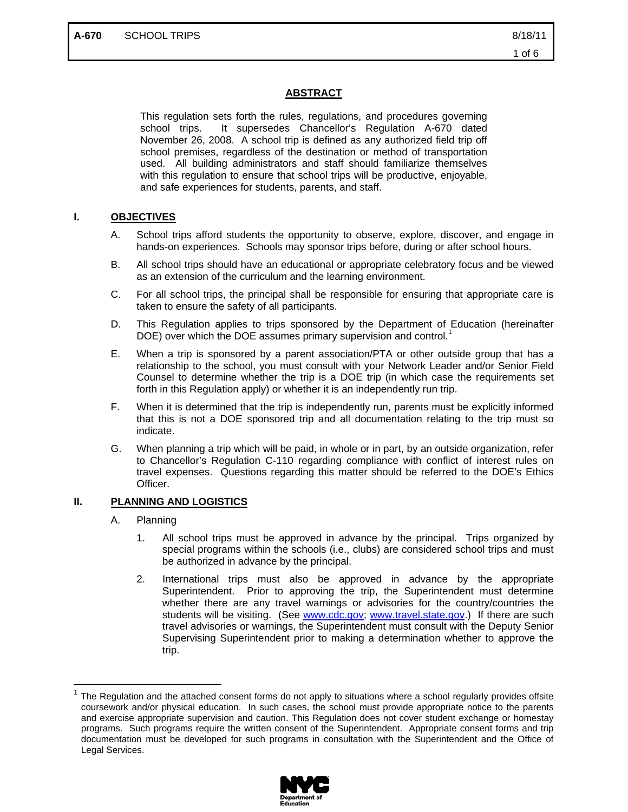# **ABSTRACT**

This regulation sets forth the rules, regulations, and procedures governing school trips. It supersedes Chancellor's Regulation A-670 dated November 26, 2008. A school trip is defined as any authorized field trip off school premises, regardless of the destination or method of transportation used. All building administrators and staff should familiarize themselves with this regulation to ensure that school trips will be productive, enjoyable, and safe experiences for students, parents, and staff.

# **I. OBJECTIVES**

- A. School trips afford students the opportunity to observe, explore, discover, and engage in hands-on experiences. Schools may sponsor trips before, during or after school hours.
- B. All school trips should have an educational or appropriate celebratory focus and be viewed as an extension of the curriculum and the learning environment.
- C. For all school trips, the principal shall be responsible for ensuring that appropriate care is taken to ensure the safety of all participants.
- D. This Regulation applies to trips sponsored by the Department of Education (hereinafter DOE) over which the DOE assumes primary supervision and control.<sup>1</sup>
- E. When a trip is sponsored by a parent association/PTA or other outside group that has a relationship to the school, you must consult with your Network Leader and/or Senior Field Counsel to determine whether the trip is a DOE trip (in which case the requirements set forth in this Regulation apply) or whether it is an independently run trip.
- F. When it is determined that the trip is independently run, parents must be explicitly informed that this is not a DOE sponsored trip and all documentation relating to the trip must so indicate.
- G. When planning a trip which will be paid, in whole or in part, by an outside organization, refer to Chancellor's Regulation C-110 regarding compliance with conflict of interest rules on travel expenses. Questions regarding this matter should be referred to the DOE's Ethics Officer.

# **II. PLANNING AND LOGISTICS**

A. Planning

 $\overline{a}$ 

- 1. All school trips must be approved in advance by the principal. Trips organized by special programs within the schools (i.e., clubs) are considered school trips and must be authorized in advance by the principal.
- 2. International trips must also be approved in advance by the appropriate Superintendent. Prior to approving the trip, the Superintendent must determine whether there are any travel warnings or advisories for the country/countries the students will be visiting. (See www.cdc.gov; www.travel.state.gov.) If there are such travel advisories or warnings, the Superintendent must consult with the Deputy Senior Supervising Superintendent prior to making a determination whether to approve the trip.

<sup>1</sup> The Regulation and the attached consent forms do not apply to situations where a school regularly provides offsite coursework and/or physical education. In such cases, the school must provide appropriate notice to the parents and exercise appropriate supervision and caution. This Regulation does not cover student exchange or homestay programs. Such programs require the written consent of the Superintendent. Appropriate consent forms and trip documentation must be developed for such programs in consultation with the Superintendent and the Office of Legal Services.

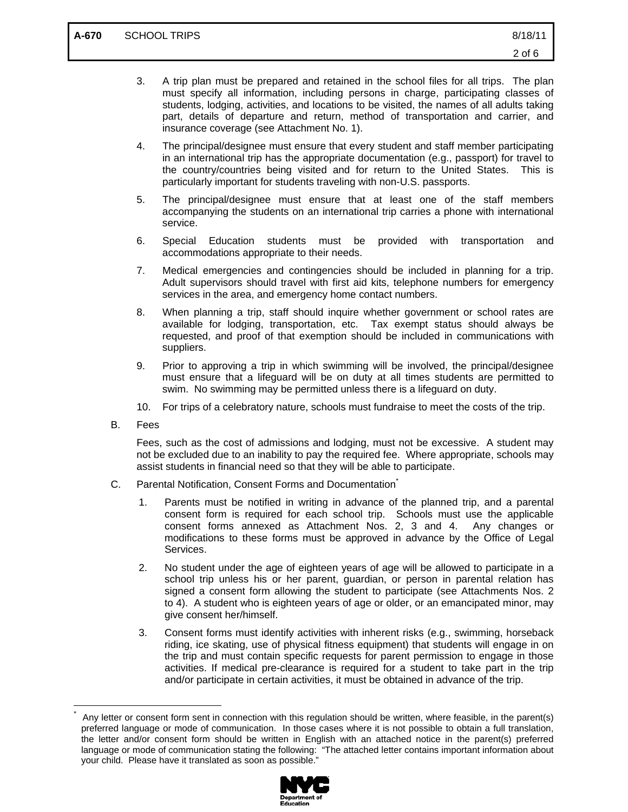- 3. A trip plan must be prepared and retained in the school files for all trips. The plan must specify all information, including persons in charge, participating classes of students, lodging, activities, and locations to be visited, the names of all adults taking part, details of departure and return, method of transportation and carrier, and insurance coverage (see Attachment No. 1).
- 4. The principal/designee must ensure that every student and staff member participating in an international trip has the appropriate documentation (e.g., passport) for travel to the country/countries being visited and for return to the United States. This is particularly important for students traveling with non-U.S. passports.
- 5. The principal/designee must ensure that at least one of the staff members accompanying the students on an international trip carries a phone with international service.
- 6. Special Education students must be provided with transportation and accommodations appropriate to their needs.
- 7. Medical emergencies and contingencies should be included in planning for a trip. Adult supervisors should travel with first aid kits, telephone numbers for emergency services in the area, and emergency home contact numbers.
- 8. When planning a trip, staff should inquire whether government or school rates are available for lodging, transportation, etc. Tax exempt status should always be requested, and proof of that exemption should be included in communications with suppliers.
- 9. Prior to approving a trip in which swimming will be involved, the principal/designee must ensure that a lifeguard will be on duty at all times students are permitted to swim. No swimming may be permitted unless there is a lifeguard on duty.
- 10. For trips of a celebratory nature, schools must fundraise to meet the costs of the trip.
- B. Fees

 $\overline{a}$ \*

Fees, such as the cost of admissions and lodging, must not be excessive. A student may not be excluded due to an inability to pay the required fee. Where appropriate, schools may assist students in financial need so that they will be able to participate.

- C. Parental Notification, Consent Forms and Documentation\*
	- 1. Parents must be notified in writing in advance of the planned trip, and a parental consent form is required for each school trip. Schools must use the applicable consent forms annexed as Attachment Nos. 2, 3 and 4. Any changes or modifications to these forms must be approved in advance by the Office of Legal Services.
	- 2. No student under the age of eighteen years of age will be allowed to participate in a school trip unless his or her parent, guardian, or person in parental relation has signed a consent form allowing the student to participate (see Attachments Nos. 2 to 4). A student who is eighteen years of age or older, or an emancipated minor, may give consent her/himself.
	- 3. Consent forms must identify activities with inherent risks (e.g., swimming, horseback riding, ice skating, use of physical fitness equipment) that students will engage in on the trip and must contain specific requests for parent permission to engage in those activities. If medical pre-clearance is required for a student to take part in the trip and/or participate in certain activities, it must be obtained in advance of the trip.

Any letter or consent form sent in connection with this regulation should be written, where feasible, in the parent(s) preferred language or mode of communication. In those cases where it is not possible to obtain a full translation, the letter and/or consent form should be written in English with an attached notice in the parent(s) preferred language or mode of communication stating the following: "The attached letter contains important information about your child. Please have it translated as soon as possible."

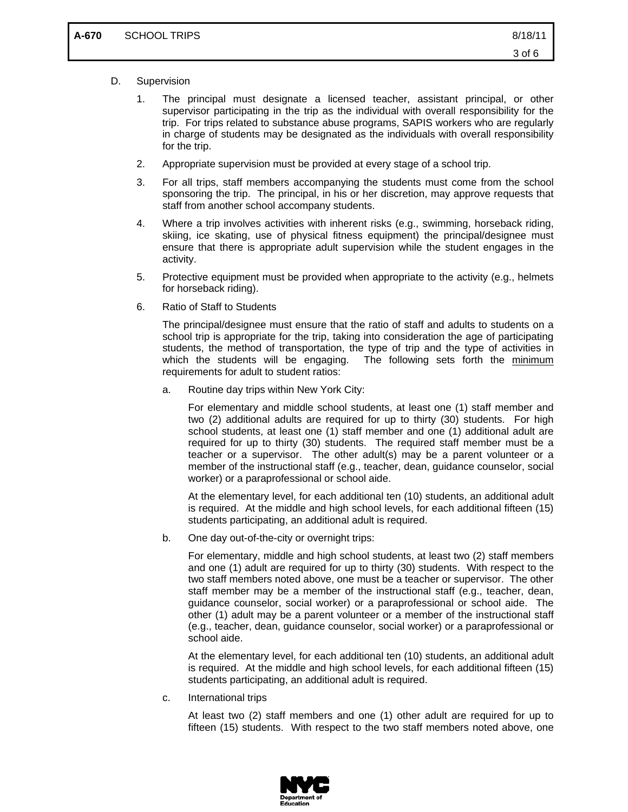- D. Supervision
	- 1. The principal must designate a licensed teacher, assistant principal, or other supervisor participating in the trip as the individual with overall responsibility for the trip. For trips related to substance abuse programs, SAPIS workers who are regularly in charge of students may be designated as the individuals with overall responsibility for the trip.
	- 2. Appropriate supervision must be provided at every stage of a school trip.
	- 3. For all trips, staff members accompanying the students must come from the school sponsoring the trip. The principal, in his or her discretion, may approve requests that staff from another school accompany students.
	- 4. Where a trip involves activities with inherent risks (e.g., swimming, horseback riding, skiing, ice skating, use of physical fitness equipment) the principal/designee must ensure that there is appropriate adult supervision while the student engages in the activity.
	- 5. Protective equipment must be provided when appropriate to the activity (e.g., helmets for horseback riding).
	- 6. Ratio of Staff to Students

The principal/designee must ensure that the ratio of staff and adults to students on a school trip is appropriate for the trip, taking into consideration the age of participating students, the method of transportation, the type of trip and the type of activities in which the students will be engaging. The following sets forth the minimum requirements for adult to student ratios:

a. Routine day trips within New York City:

For elementary and middle school students, at least one (1) staff member and two (2) additional adults are required for up to thirty (30) students. For high school students, at least one (1) staff member and one (1) additional adult are required for up to thirty (30) students. The required staff member must be a teacher or a supervisor. The other adult(s) may be a parent volunteer or a member of the instructional staff (e.g., teacher, dean, guidance counselor, social worker) or a paraprofessional or school aide.

At the elementary level, for each additional ten (10) students, an additional adult is required. At the middle and high school levels, for each additional fifteen (15) students participating, an additional adult is required.

b. One day out-of-the-city or overnight trips:

For elementary, middle and high school students, at least two (2) staff members and one (1) adult are required for up to thirty (30) students. With respect to the two staff members noted above, one must be a teacher or supervisor. The other staff member may be a member of the instructional staff (e.g., teacher, dean, guidance counselor, social worker) or a paraprofessional or school aide. The other (1) adult may be a parent volunteer or a member of the instructional staff (e.g., teacher, dean, guidance counselor, social worker) or a paraprofessional or school aide.

At the elementary level, for each additional ten (10) students, an additional adult is required. At the middle and high school levels, for each additional fifteen (15) students participating, an additional adult is required.

c. International trips

At least two (2) staff members and one (1) other adult are required for up to fifteen (15) students. With respect to the two staff members noted above, one

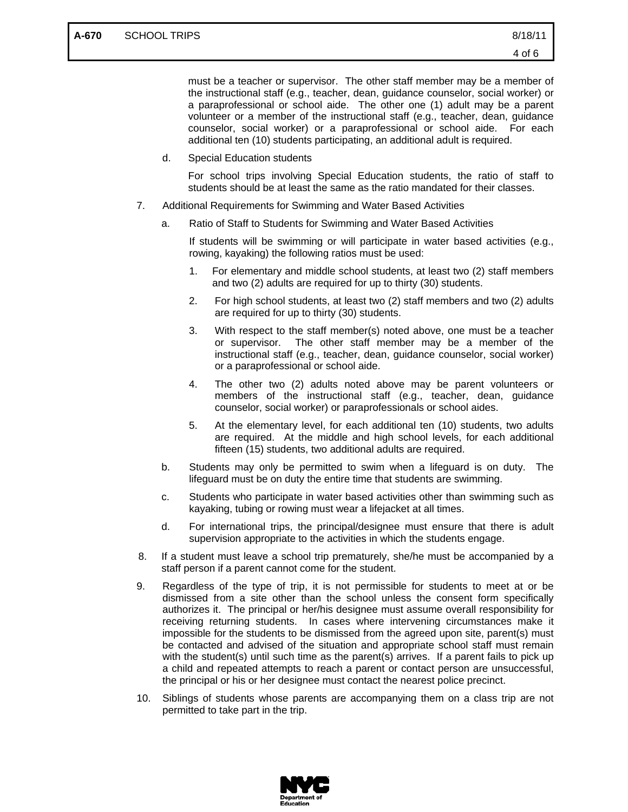must be a teacher or supervisor. The other staff member may be a member of the instructional staff (e.g., teacher, dean, guidance counselor, social worker) or a paraprofessional or school aide. The other one (1) adult may be a parent volunteer or a member of the instructional staff (e.g., teacher, dean, guidance counselor, social worker) or a paraprofessional or school aide. For each additional ten (10) students participating, an additional adult is required.

d. Special Education students

For school trips involving Special Education students, the ratio of staff to students should be at least the same as the ratio mandated for their classes.

- 7. Additional Requirements for Swimming and Water Based Activities
	- a. Ratio of Staff to Students for Swimming and Water Based Activities

If students will be swimming or will participate in water based activities (e.g., rowing, kayaking) the following ratios must be used:

- 1. For elementary and middle school students, at least two (2) staff members and two (2) adults are required for up to thirty (30) students.
- 2. For high school students, at least two (2) staff members and two (2) adults are required for up to thirty (30) students.
- 3. With respect to the staff member(s) noted above, one must be a teacher or supervisor. The other staff member may be a member of the instructional staff (e.g., teacher, dean, guidance counselor, social worker) or a paraprofessional or school aide.
- 4. The other two (2) adults noted above may be parent volunteers or members of the instructional staff (e.g., teacher, dean, guidance counselor, social worker) or paraprofessionals or school aides.
- 5. At the elementary level, for each additional ten (10) students, two adults are required. At the middle and high school levels, for each additional fifteen (15) students, two additional adults are required.
- b. Students may only be permitted to swim when a lifeguard is on duty. The lifeguard must be on duty the entire time that students are swimming.
- c. Students who participate in water based activities other than swimming such as kayaking, tubing or rowing must wear a lifejacket at all times.
- d. For international trips, the principal/designee must ensure that there is adult supervision appropriate to the activities in which the students engage.
- 8. If a student must leave a school trip prematurely, she/he must be accompanied by a staff person if a parent cannot come for the student.
- 9. Regardless of the type of trip, it is not permissible for students to meet at or be dismissed from a site other than the school unless the consent form specifically authorizes it. The principal or her/his designee must assume overall responsibility for receiving returning students. In cases where intervening circumstances make it impossible for the students to be dismissed from the agreed upon site, parent(s) must be contacted and advised of the situation and appropriate school staff must remain with the student(s) until such time as the parent(s) arrives. If a parent fails to pick up a child and repeated attempts to reach a parent or contact person are unsuccessful, the principal or his or her designee must contact the nearest police precinct.
- 10. Siblings of students whose parents are accompanying them on a class trip are not permitted to take part in the trip.

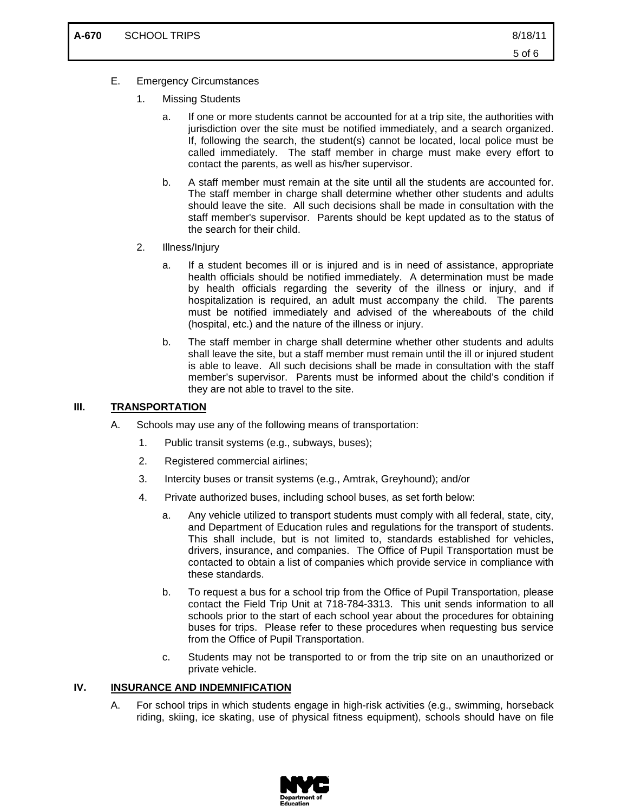- E. Emergency Circumstances
	- 1. Missing Students
		- a. If one or more students cannot be accounted for at a trip site, the authorities with jurisdiction over the site must be notified immediately, and a search organized. If, following the search, the student(s) cannot be located, local police must be called immediately. The staff member in charge must make every effort to contact the parents, as well as his/her supervisor.
		- b. A staff member must remain at the site until all the students are accounted for. The staff member in charge shall determine whether other students and adults should leave the site. All such decisions shall be made in consultation with the staff member's supervisor. Parents should be kept updated as to the status of the search for their child.
	- 2. Illness/Injury
		- a. If a student becomes ill or is injured and is in need of assistance, appropriate health officials should be notified immediately. A determination must be made by health officials regarding the severity of the illness or injury, and if hospitalization is required, an adult must accompany the child. The parents must be notified immediately and advised of the whereabouts of the child (hospital, etc.) and the nature of the illness or injury.
		- b. The staff member in charge shall determine whether other students and adults shall leave the site, but a staff member must remain until the ill or injured student is able to leave. All such decisions shall be made in consultation with the staff member's supervisor. Parents must be informed about the child's condition if they are not able to travel to the site.

### **III. TRANSPORTATION**

- A. Schools may use any of the following means of transportation:
	- 1. Public transit systems (e.g., subways, buses);
	- 2. Registered commercial airlines;
	- 3. Intercity buses or transit systems (e.g., Amtrak, Greyhound); and/or
	- 4. Private authorized buses, including school buses, as set forth below:
		- a. Any vehicle utilized to transport students must comply with all federal, state, city, and Department of Education rules and regulations for the transport of students. This shall include, but is not limited to, standards established for vehicles, drivers, insurance, and companies. The Office of Pupil Transportation must be contacted to obtain a list of companies which provide service in compliance with these standards.
		- b. To request a bus for a school trip from the Office of Pupil Transportation, please contact the Field Trip Unit at 718-784-3313. This unit sends information to all schools prior to the start of each school year about the procedures for obtaining buses for trips. Please refer to these procedures when requesting bus service from the Office of Pupil Transportation.
		- c. Students may not be transported to or from the trip site on an unauthorized or private vehicle.

#### **IV. INSURANCE AND INDEMNIFICATION**

A. For school trips in which students engage in high-risk activities (e.g., swimming, horseback riding, skiing, ice skating, use of physical fitness equipment), schools should have on file

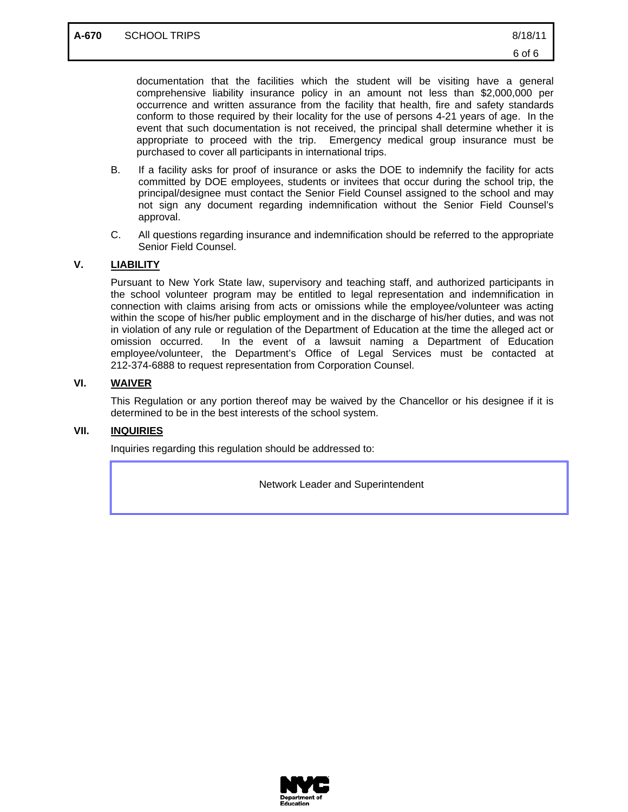documentation that the facilities which the student will be visiting have a general comprehensive liability insurance policy in an amount not less than \$2,000,000 per occurrence and written assurance from the facility that health, fire and safety standards conform to those required by their locality for the use of persons 4-21 years of age. In the event that such documentation is not received, the principal shall determine whether it is appropriate to proceed with the trip. Emergency medical group insurance must be purchased to cover all participants in international trips.

- B. If a facility asks for proof of insurance or asks the DOE to indemnify the facility for acts committed by DOE employees, students or invitees that occur during the school trip, the principal/designee must contact the Senior Field Counsel assigned to the school and may not sign any document regarding indemnification without the Senior Field Counsel's approval.
- C. All questions regarding insurance and indemnification should be referred to the appropriate Senior Field Counsel.

# **V. LIABILITY**

Pursuant to New York State law, supervisory and teaching staff, and authorized participants in the school volunteer program may be entitled to legal representation and indemnification in connection with claims arising from acts or omissions while the employee/volunteer was acting within the scope of his/her public employment and in the discharge of his/her duties, and was not in violation of any rule or regulation of the Department of Education at the time the alleged act or omission occurred. In the event of a lawsuit naming a Department of Education employee/volunteer, the Department's Office of Legal Services must be contacted at 212-374-6888 to request representation from Corporation Counsel.

# **VI. WAIVER**

This Regulation or any portion thereof may be waived by the Chancellor or his designee if it is determined to be in the best interests of the school system.

#### **VII. INQUIRIES**

Inquiries regarding this regulation should be addressed to:

Network Leader and Superintendent

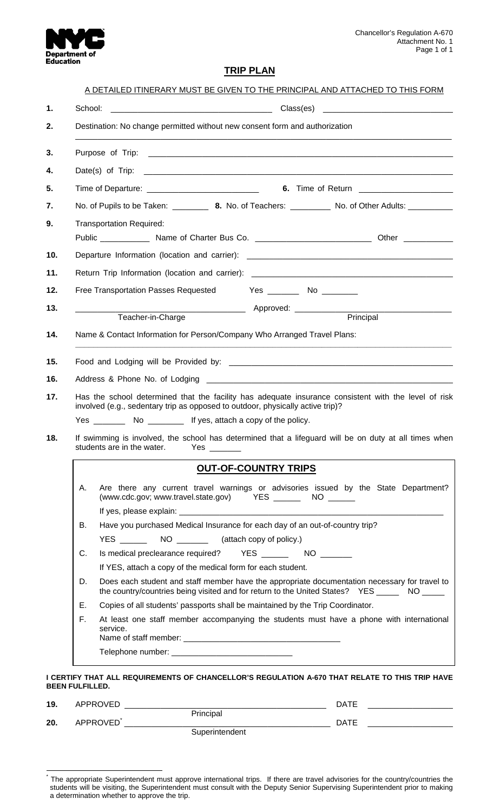

# **TRIP PLAN**

|    | Destination: No change permitted without new consent form and authorization                                                                   |                                                                                                                                                                                                  |  |
|----|-----------------------------------------------------------------------------------------------------------------------------------------------|--------------------------------------------------------------------------------------------------------------------------------------------------------------------------------------------------|--|
|    |                                                                                                                                               |                                                                                                                                                                                                  |  |
|    |                                                                                                                                               |                                                                                                                                                                                                  |  |
|    |                                                                                                                                               |                                                                                                                                                                                                  |  |
|    |                                                                                                                                               | No. of Pupils to be Taken: _________ 8. No. of Teachers: __________ No. of Other Adults: _________                                                                                               |  |
|    | <b>Transportation Required:</b>                                                                                                               |                                                                                                                                                                                                  |  |
|    |                                                                                                                                               | Public _______________ Name of Charter Bus Co. _________________________________ Other _____________                                                                                             |  |
|    |                                                                                                                                               | Departure Information (location and carrier): ___________________________________                                                                                                                |  |
|    |                                                                                                                                               |                                                                                                                                                                                                  |  |
|    | Free Transportation Passes Requested Yes _________ No _________                                                                               |                                                                                                                                                                                                  |  |
|    |                                                                                                                                               |                                                                                                                                                                                                  |  |
|    | Teacher-in-Charge                                                                                                                             | Principal                                                                                                                                                                                        |  |
|    | Name & Contact Information for Person/Company Who Arranged Travel Plans:                                                                      |                                                                                                                                                                                                  |  |
|    |                                                                                                                                               |                                                                                                                                                                                                  |  |
|    |                                                                                                                                               |                                                                                                                                                                                                  |  |
|    |                                                                                                                                               |                                                                                                                                                                                                  |  |
|    |                                                                                                                                               |                                                                                                                                                                                                  |  |
|    | involved (e.g., sedentary trip as opposed to outdoor, physically active trip)?                                                                | Has the school determined that the facility has adequate insurance consistent with the level of risk                                                                                             |  |
|    |                                                                                                                                               |                                                                                                                                                                                                  |  |
|    | students are in the water.<br>Yes the control of the control of the control of the control of the control of the control of the control of th | If swimming is involved, the school has determined that a lifeguard will be on duty at all times when                                                                                            |  |
|    |                                                                                                                                               | <b>OUT-OF-COUNTRY TRIPS</b>                                                                                                                                                                      |  |
| А. | (www.cdc.gov; www.travel.state.gov) YES ________ NO _______                                                                                   | Are there any current travel warnings or advisories issued by the State Department?                                                                                                              |  |
|    |                                                                                                                                               |                                                                                                                                                                                                  |  |
| В. | Have you purchased Medical Insurance for each day of an out-of-country trip?                                                                  |                                                                                                                                                                                                  |  |
|    |                                                                                                                                               |                                                                                                                                                                                                  |  |
| C. |                                                                                                                                               |                                                                                                                                                                                                  |  |
|    | If YES, attach a copy of the medical form for each student.                                                                                   |                                                                                                                                                                                                  |  |
| D. |                                                                                                                                               | Does each student and staff member have the appropriate documentation necessary for travel to<br>the country/countries being visited and for return to the United States? YES ________ NO ______ |  |
| Е. | Copies of all students' passports shall be maintained by the Trip Coordinator.                                                                |                                                                                                                                                                                                  |  |
| F. | service.                                                                                                                                      | At least one staff member accompanying the students must have a phone with international                                                                                                         |  |

| 19. | APPROVED              |                | <b>DATE</b> |  |
|-----|-----------------------|----------------|-------------|--|
|     |                       | Principal      |             |  |
| 20. | APPROVED <sup>®</sup> |                | <b>DATE</b> |  |
|     |                       | Superintendent |             |  |

 \* The appropriate Superintendent must approve international trips. If there are travel advisories for the country/countries the students will be visiting, the Superintendent must consult with the Deputy Senior Supervising Superintendent prior to making a determination whether to approve the trip.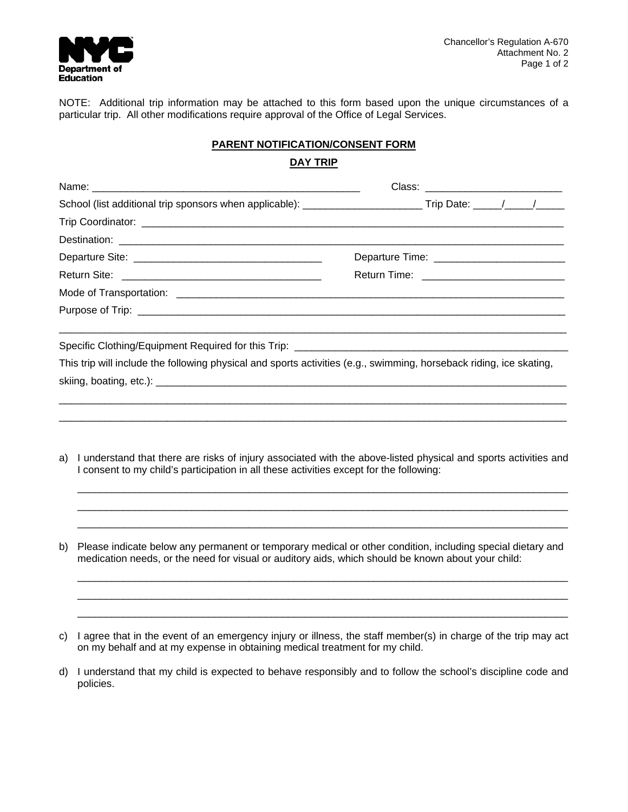

NOTE: Additional trip information may be attached to this form based upon the unique circumstances of a particular trip. All other modifications require approval of the Office of Legal Services.

# **PARENT NOTIFICATION/CONSENT FORM**

| ш<br>٦ι<br>. .<br>יי |
|----------------------|
|                      |

|                                                                                               | School (list additional trip sponsors when applicable): _________________________Trip Date: _____/_____/______                                                                                                   |
|-----------------------------------------------------------------------------------------------|------------------------------------------------------------------------------------------------------------------------------------------------------------------------------------------------------------------|
|                                                                                               |                                                                                                                                                                                                                  |
|                                                                                               |                                                                                                                                                                                                                  |
|                                                                                               | Departure Time: ____________________________                                                                                                                                                                     |
|                                                                                               |                                                                                                                                                                                                                  |
|                                                                                               |                                                                                                                                                                                                                  |
|                                                                                               |                                                                                                                                                                                                                  |
|                                                                                               | This trip will include the following physical and sports activities (e.g., swimming, horseback riding, ice skating,                                                                                              |
| a)<br>I consent to my child's participation in all these activities except for the following: | I understand that there are risks of injury associated with the above-listed physical and sports activities and                                                                                                  |
| b)                                                                                            | Please indicate below any permanent or temporary medical or other condition, including special dietary and<br>medication needs, or the need for visual or auditory aids, which should be known about your child: |
| C)<br>on my behalf and at my expense in obtaining medical treatment for my child.             | I agree that in the event of an emergency injury or illness, the staff member(s) in charge of the trip may act                                                                                                   |

d) I understand that my child is expected to behave responsibly and to follow the school's discipline code and policies.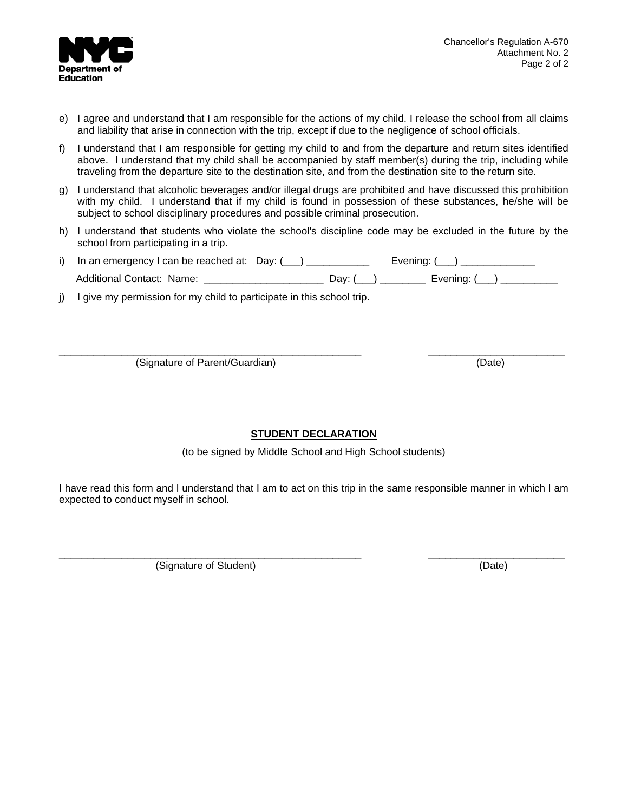

- e) I agree and understand that I am responsible for the actions of my child. I release the school from all claims and liability that arise in connection with the trip, except if due to the negligence of school officials.
- f) I understand that I am responsible for getting my child to and from the departure and return sites identified above. I understand that my child shall be accompanied by staff member(s) during the trip, including while traveling from the departure site to the destination site, and from the destination site to the return site.
- g) I understand that alcoholic beverages and/or illegal drugs are prohibited and have discussed this prohibition with my child. I understand that if my child is found in possession of these substances, he/she will be subject to school disciplinary procedures and possible criminal prosecution.
- h) I understand that students who violate the school's discipline code may be excluded in the future by the school from participating in a trip.
- i) In an emergency I can be reached at: Day:  $(\_\_)$  \_\_\_\_\_\_\_\_\_\_ Evening:  $(\_\_)$  \_\_\_\_\_\_\_\_\_\_ Additional Contact: Name: <br>  $\begin{array}{ccc} \text{Additional Contact: Name:} & \text{Aeditional Contact:} \\ \end{array}$
- j) I give my permission for my child to participate in this school trip.

\_\_\_\_\_\_\_\_\_\_\_\_\_\_\_\_\_\_\_\_\_\_\_\_\_\_\_\_\_\_\_\_\_\_\_\_\_\_\_\_\_\_\_\_\_\_\_\_\_\_\_\_\_ \_\_\_\_\_\_\_\_\_\_\_\_\_\_\_\_\_\_\_\_\_\_\_\_ (Signature of Parent/Guardian) (Date)

# **STUDENT DECLARATION**

(to be signed by Middle School and High School students)

I have read this form and I understand that I am to act on this trip in the same responsible manner in which I am expected to conduct myself in school.

\_\_\_\_\_\_\_\_\_\_\_\_\_\_\_\_\_\_\_\_\_\_\_\_\_\_\_\_\_\_\_\_\_\_\_\_\_\_\_\_\_\_\_\_\_\_\_\_\_\_\_\_\_ \_\_\_\_\_\_\_\_\_\_\_\_\_\_\_\_\_\_\_\_\_\_\_\_ (Signature of Student) (Date)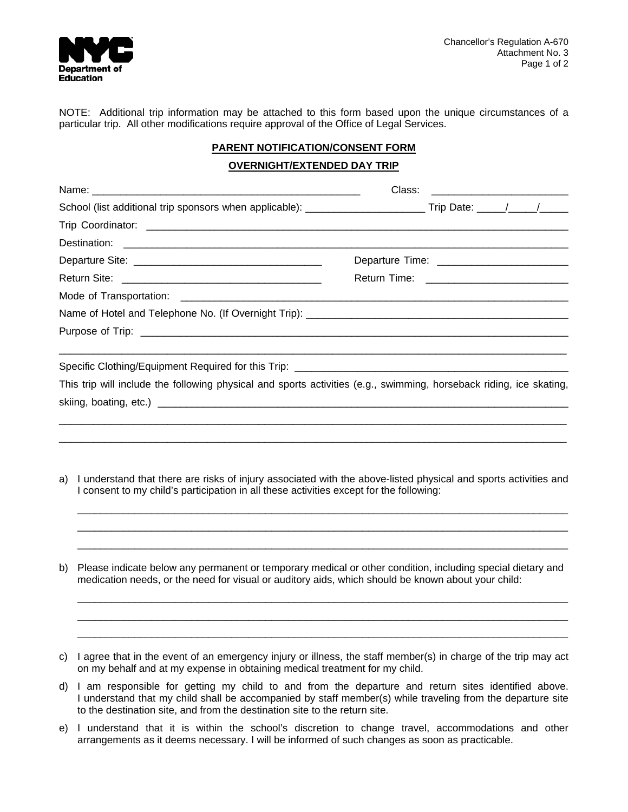

NOTE: Additional trip information may be attached to this form based upon the unique circumstances of a particular trip. All other modifications require approval of the Office of Legal Services.

# **PARENT NOTIFICATION/CONSENT FORM**

#### **OVERNIGHT/EXTENDED DAY TRIP**

|    | School (list additional trip sponsors when applicable): _________________________Trip Date: _____/_____/______                                                                                                                                                                                 |  |  |
|----|------------------------------------------------------------------------------------------------------------------------------------------------------------------------------------------------------------------------------------------------------------------------------------------------|--|--|
|    |                                                                                                                                                                                                                                                                                                |  |  |
|    |                                                                                                                                                                                                                                                                                                |  |  |
|    |                                                                                                                                                                                                                                                                                                |  |  |
|    |                                                                                                                                                                                                                                                                                                |  |  |
|    |                                                                                                                                                                                                                                                                                                |  |  |
|    |                                                                                                                                                                                                                                                                                                |  |  |
|    |                                                                                                                                                                                                                                                                                                |  |  |
|    | This trip will include the following physical and sports activities (e.g., swimming, horseback riding, ice skating,                                                                                                                                                                            |  |  |
| a) | I understand that there are risks of injury associated with the above-listed physical and sports activities and<br>I consent to my child's participation in all these activities except for the following:                                                                                     |  |  |
| b) | Please indicate below any permanent or temporary medical or other condition, including special dietary and<br>medication needs, or the need for visual or auditory aids, which should be known about your child:                                                                               |  |  |
| C) | I agree that in the event of an emergency injury or illness, the staff member(s) in charge of the trip may act<br>on my behalf and at my expense in obtaining medical treatment for my child.                                                                                                  |  |  |
| d) | I am responsible for getting my child to and from the departure and return sites identified above.<br>I understand that my child shall be accompanied by staff member(s) while traveling from the departure site<br>to the destination site, and from the destination site to the return site. |  |  |

e) I understand that it is within the school's discretion to change travel, accommodations and other arrangements as it deems necessary. I will be informed of such changes as soon as practicable.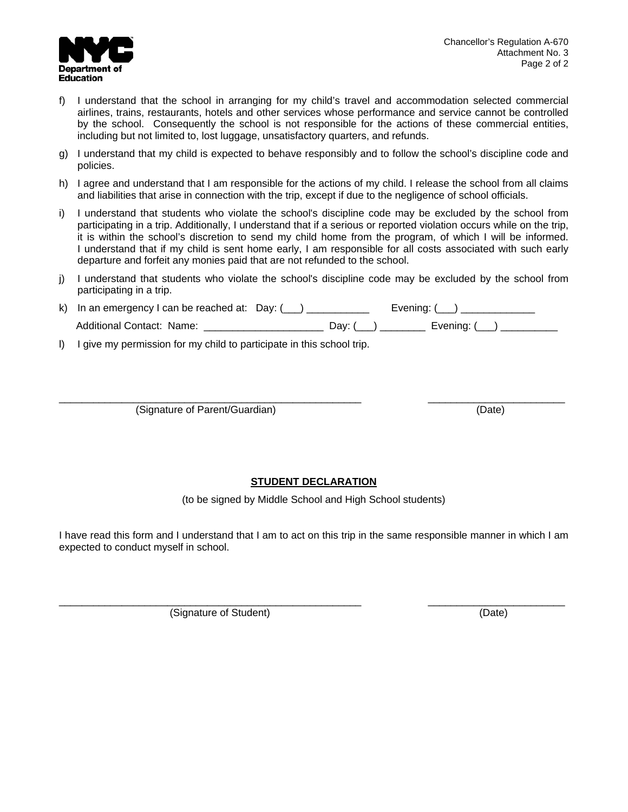

- f) I understand that the school in arranging for my child's travel and accommodation selected commercial airlines, trains, restaurants, hotels and other services whose performance and service cannot be controlled by the school. Consequently the school is not responsible for the actions of these commercial entities, including but not limited to, lost luggage, unsatisfactory quarters, and refunds.
- g) I understand that my child is expected to behave responsibly and to follow the school's discipline code and policies.
- h) I agree and understand that I am responsible for the actions of my child. I release the school from all claims and liabilities that arise in connection with the trip, except if due to the negligence of school officials.
- i) I understand that students who violate the school's discipline code may be excluded by the school from participating in a trip. Additionally, I understand that if a serious or reported violation occurs while on the trip, it is within the school's discretion to send my child home from the program, of which I will be informed. I understand that if my child is sent home early, I am responsible for all costs associated with such early departure and forfeit any monies paid that are not refunded to the school.
- j) I understand that students who violate the school's discipline code may be excluded by the school from participating in a trip.

| k) In an emergency I can be reached at: Day: $(\_\_)$ |            | Evening: () |
|-------------------------------------------------------|------------|-------------|
| Additional Contact: Name:                             | Dav: $($ ) | Evening: () |

l) I give my permission for my child to participate in this school trip.

\_\_\_\_\_\_\_\_\_\_\_\_\_\_\_\_\_\_\_\_\_\_\_\_\_\_\_\_\_\_\_\_\_\_\_\_\_\_\_\_\_\_\_\_\_\_\_\_\_\_\_\_\_ \_\_\_\_\_\_\_\_\_\_\_\_\_\_\_\_\_\_\_\_\_\_\_\_ (Signature of Parent/Guardian) (Date)

# **STUDENT DECLARATION**

(to be signed by Middle School and High School students)

I have read this form and I understand that I am to act on this trip in the same responsible manner in which I am expected to conduct myself in school.

\_\_\_\_\_\_\_\_\_\_\_\_\_\_\_\_\_\_\_\_\_\_\_\_\_\_\_\_\_\_\_\_\_\_\_\_\_\_\_\_\_\_\_\_\_\_\_\_\_\_\_\_\_ \_\_\_\_\_\_\_\_\_\_\_\_\_\_\_\_\_\_\_\_\_\_\_\_

(Signature of Student) (Date)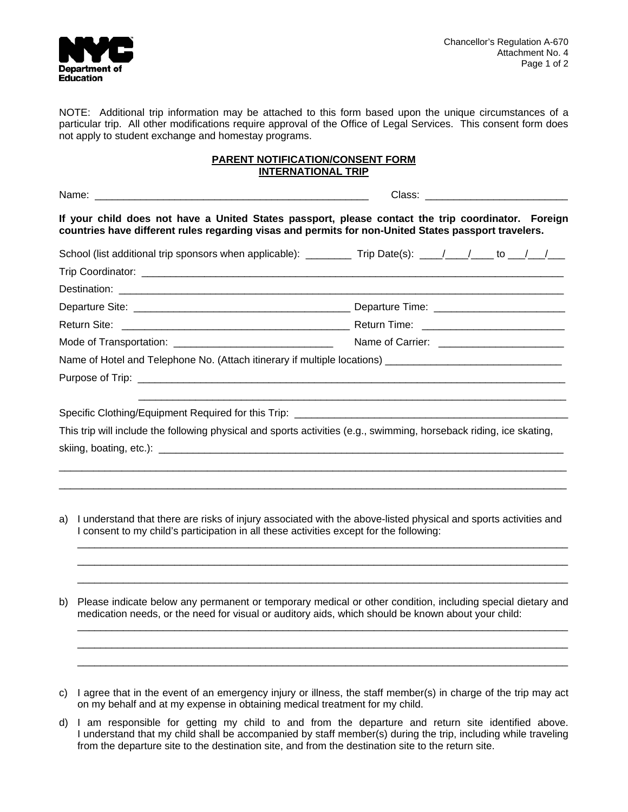

NOTE: Additional trip information may be attached to this form based upon the unique circumstances of a particular trip. All other modifications require approval of the Office of Legal Services. This consent form does not apply to student exchange and homestay programs.

### **PARENT NOTIFICATION/CONSENT FORM INTERNATIONAL TRIP**

| If your child does not have a United States passport, please contact the trip coordinator. Foreign<br>countries have different rules regarding visas and permits for non-United States passport travelers. |  |
|------------------------------------------------------------------------------------------------------------------------------------------------------------------------------------------------------------|--|
| School (list additional trip sponsors when applicable): _________ Trip Date(s): ____/____/____ to ___/___/___                                                                                              |  |
|                                                                                                                                                                                                            |  |
|                                                                                                                                                                                                            |  |
|                                                                                                                                                                                                            |  |
|                                                                                                                                                                                                            |  |
|                                                                                                                                                                                                            |  |
|                                                                                                                                                                                                            |  |
|                                                                                                                                                                                                            |  |
|                                                                                                                                                                                                            |  |
| This trip will include the following physical and sports activities (e.g., swimming, horseback riding, ice skating,                                                                                        |  |
|                                                                                                                                                                                                            |  |
|                                                                                                                                                                                                            |  |
|                                                                                                                                                                                                            |  |

- a) I understand that there are risks of injury associated with the above-listed physical and sports activities and I consent to my child's participation in all these activities except for the following:  $\overline{\phantom{a}}$  ,  $\overline{\phantom{a}}$  ,  $\overline{\phantom{a}}$  ,  $\overline{\phantom{a}}$  ,  $\overline{\phantom{a}}$  ,  $\overline{\phantom{a}}$  ,  $\overline{\phantom{a}}$  ,  $\overline{\phantom{a}}$  ,  $\overline{\phantom{a}}$  ,  $\overline{\phantom{a}}$  ,  $\overline{\phantom{a}}$  ,  $\overline{\phantom{a}}$  ,  $\overline{\phantom{a}}$  ,  $\overline{\phantom{a}}$  ,  $\overline{\phantom{a}}$  ,  $\overline{\phantom{a}}$
- b) Please indicate below any permanent or temporary medical or other condition, including special dietary and medication needs, or the need for visual or auditory aids, which should be known about your child:  $\mathcal{L}_\text{max}$  , and the set of the set of the set of the set of the set of the set of the set of the set of the set of the set of the set of the set of the set of the set of the set of the set of the set of the set of the

\_\_\_\_\_\_\_\_\_\_\_\_\_\_\_\_\_\_\_\_\_\_\_\_\_\_\_\_\_\_\_\_\_\_\_\_\_\_\_\_\_\_\_\_\_\_\_\_\_\_\_\_\_\_\_\_\_\_\_\_\_\_\_\_\_\_\_\_\_\_\_\_\_\_\_\_\_\_\_\_\_\_\_\_\_\_ \_\_\_\_\_\_\_\_\_\_\_\_\_\_\_\_\_\_\_\_\_\_\_\_\_\_\_\_\_\_\_\_\_\_\_\_\_\_\_\_\_\_\_\_\_\_\_\_\_\_\_\_\_\_\_\_\_\_\_\_\_\_\_\_\_\_\_\_\_\_\_\_\_\_\_\_\_\_\_\_\_\_\_\_\_\_

\_\_\_\_\_\_\_\_\_\_\_\_\_\_\_\_\_\_\_\_\_\_\_\_\_\_\_\_\_\_\_\_\_\_\_\_\_\_\_\_\_\_\_\_\_\_\_\_\_\_\_\_\_\_\_\_\_\_\_\_\_\_\_\_\_\_\_\_\_\_\_\_\_\_\_\_\_\_\_\_\_\_\_\_\_\_ \_\_\_\_\_\_\_\_\_\_\_\_\_\_\_\_\_\_\_\_\_\_\_\_\_\_\_\_\_\_\_\_\_\_\_\_\_\_\_\_\_\_\_\_\_\_\_\_\_\_\_\_\_\_\_\_\_\_\_\_\_\_\_\_\_\_\_\_\_\_\_\_\_\_\_\_\_\_\_\_\_\_\_\_\_\_

- c) I agree that in the event of an emergency injury or illness, the staff member(s) in charge of the trip may act on my behalf and at my expense in obtaining medical treatment for my child.
- d) I am responsible for getting my child to and from the departure and return site identified above. I understand that my child shall be accompanied by staff member(s) during the trip, including while traveling from the departure site to the destination site, and from the destination site to the return site.